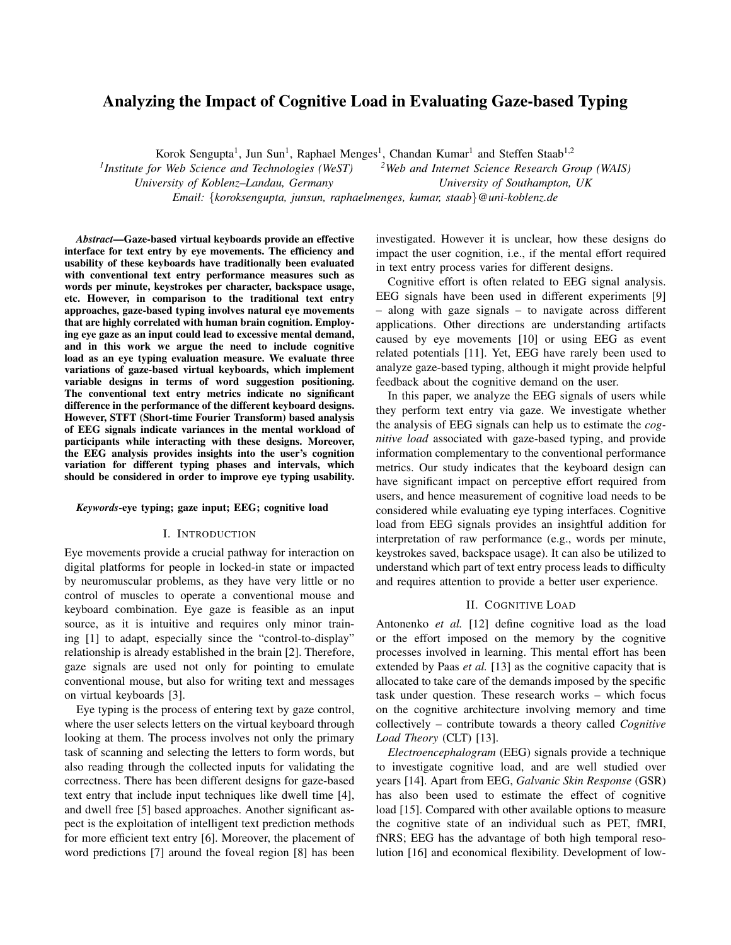# Analyzing the Impact of Cognitive Load in Evaluating Gaze-based Typing

Korok Sengupta<sup>1</sup>, Jun Sun<sup>1</sup>, Raphael Menges<sup>1</sup>, Chandan Kumar<sup>1</sup> and Steffen Staab<sup>1,2</sup>

*1Institute for Web Science and Technologies (WeST) 2Web and Internet Science Research Group (WAIS) University of Koblenz–Landau, Germany University of Southampton, UK*

*Email: {koroksengupta, junsun, raphaelmenges, kumar, staab}@uni-koblenz.de*

*Abstract*—Gaze-based virtual keyboards provide an effective interface for text entry by eye movements. The efficiency and usability of these keyboards have traditionally been evaluated with conventional text entry performance measures such as words per minute, keystrokes per character, backspace usage, etc. However, in comparison to the traditional text entry approaches, gaze-based typing involves natural eye movements that are highly correlated with human brain cognition. Employing eye gaze as an input could lead to excessive mental demand, and in this work we argue the need to include cognitive load as an eye typing evaluation measure. We evaluate three variations of gaze-based virtual keyboards, which implement variable designs in terms of word suggestion positioning. The conventional text entry metrics indicate no significant difference in the performance of the different keyboard designs. However, STFT (Short-time Fourier Transform) based analysis of EEG signals indicate variances in the mental workload of participants while interacting with these designs. Moreover, the EEG analysis provides insights into the user's cognition variation for different typing phases and intervals, which should be considered in order to improve eye typing usability.

#### *Keywords*-eye typing; gaze input; EEG; cognitive load

#### I. INTRODUCTION

Eye movements provide a crucial pathway for interaction on digital platforms for people in locked-in state or impacted by neuromuscular problems, as they have very little or no control of muscles to operate a conventional mouse and keyboard combination. Eye gaze is feasible as an input source, as it is intuitive and requires only minor training [1] to adapt, especially since the "control-to-display" relationship is already established in the brain [2]. Therefore, gaze signals are used not only for pointing to emulate conventional mouse, but also for writing text and messages on virtual keyboards [3].

Eye typing is the process of entering text by gaze control, where the user selects letters on the virtual keyboard through looking at them. The process involves not only the primary task of scanning and selecting the letters to form words, but also reading through the collected inputs for validating the correctness. There has been different designs for gaze-based text entry that include input techniques like dwell time [4], and dwell free [5] based approaches. Another significant aspect is the exploitation of intelligent text prediction methods for more efficient text entry [6]. Moreover, the placement of word predictions [7] around the foveal region [8] has been investigated. However it is unclear, how these designs do impact the user cognition, i.e., if the mental effort required in text entry process varies for different designs.

Cognitive effort is often related to EEG signal analysis. EEG signals have been used in different experiments [9] – along with gaze signals – to navigate across different applications. Other directions are understanding artifacts caused by eye movements [10] or using EEG as event related potentials [11]. Yet, EEG have rarely been used to analyze gaze-based typing, although it might provide helpful feedback about the cognitive demand on the user.

In this paper, we analyze the EEG signals of users while they perform text entry via gaze. We investigate whether the analysis of EEG signals can help us to estimate the *cognitive load* associated with gaze-based typing, and provide information complementary to the conventional performance metrics. Our study indicates that the keyboard design can have significant impact on perceptive effort required from users, and hence measurement of cognitive load needs to be considered while evaluating eye typing interfaces. Cognitive load from EEG signals provides an insightful addition for interpretation of raw performance (e.g., words per minute, keystrokes saved, backspace usage). It can also be utilized to understand which part of text entry process leads to difficulty and requires attention to provide a better user experience.

# II. COGNITIVE LOAD

Antonenko *et al.* [12] define cognitive load as the load or the effort imposed on the memory by the cognitive processes involved in learning. This mental effort has been extended by Paas *et al.* [13] as the cognitive capacity that is allocated to take care of the demands imposed by the specific task under question. These research works – which focus on the cognitive architecture involving memory and time collectively – contribute towards a theory called *Cognitive Load Theory* (CLT) [13].

*Electroencephalogram* (EEG) signals provide a technique to investigate cognitive load, and are well studied over years [14]. Apart from EEG, *Galvanic Skin Response* (GSR) has also been used to estimate the effect of cognitive load [15]. Compared with other available options to measure the cognitive state of an individual such as PET, fMRI, fNRS; EEG has the advantage of both high temporal resolution [16] and economical flexibility. Development of low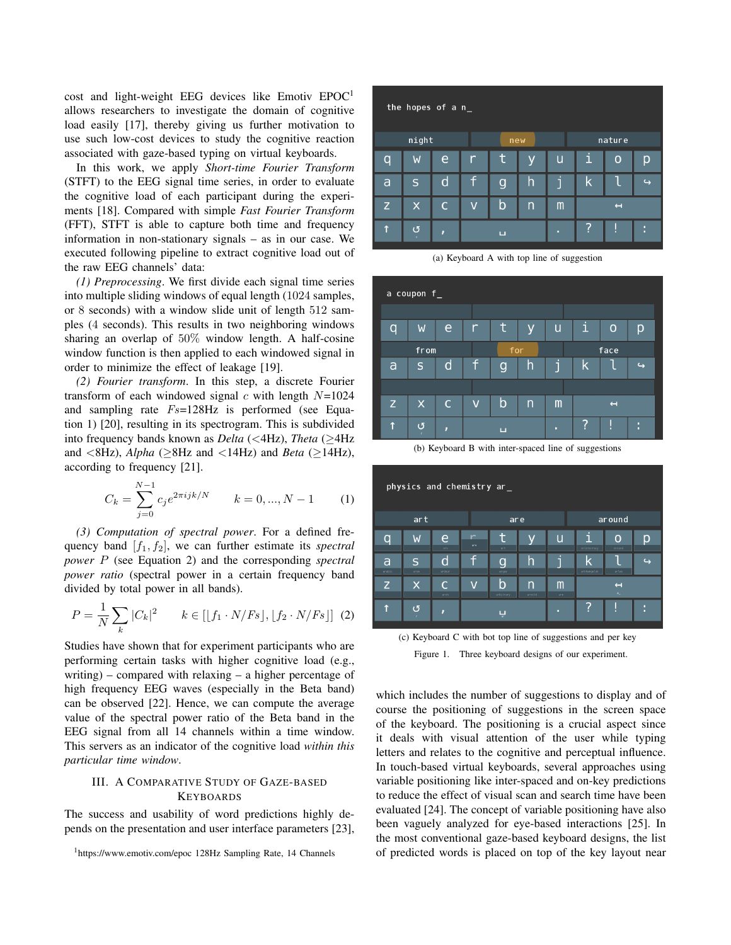cost and light-weight EEG devices like Emotiv  $EPOC<sup>1</sup>$ allows researchers to investigate the domain of cognitive load easily [17], thereby giving us further motivation to use such low-cost devices to study the cognitive reaction associated with gaze-based typing on virtual keyboards.

In this work, we apply *Short-time Fourier Transform* (STFT) to the EEG signal time series, in order to evaluate the cognitive load of each participant during the experiments [18]. Compared with simple *Fast Fourier Transform* (FFT), STFT is able to capture both time and frequency information in non-stationary signals – as in our case. We executed following pipeline to extract cognitive load out of the raw EEG channels' data:

*(1) Preprocessing*. We first divide each signal time series into multiple sliding windows of equal length (1024 samples, or 8 seconds) with a window slide unit of length 512 samples (4 seconds). This results in two neighboring windows sharing an overlap of 50% window length. A half-cosine window function is then applied to each windowed signal in order to minimize the effect of leakage [19].

*(2) Fourier transform*. In this step, a discrete Fourier transform of each windowed signal *c* with length *N*=1024 and sampling rate *Fs*=128Hz is performed (see Equation 1) [20], resulting in its spectrogram. This is subdivided into frequency bands known as *Delta* ( $\lt$ 4Hz), *Theta* ( $\geq$ 4Hz) and  $\langle 8Hz, Alpha$  ( $\geq 8Hz$  and  $\langle 14Hz, A{lbar}$ ) and *Beta* ( $\geq 14Hz$ ), according to frequency [21].

$$
C_k = \sum_{j=0}^{N-1} c_j e^{2\pi i j k/N} \qquad k = 0, ..., N-1 \qquad (1)
$$

*(3) Computation of spectral power*. For a defined frequency band [*f*1*, f*2], we can further estimate its *spectral power P* (see Equation 2) and the corresponding *spectral power ratio* (spectral power in a certain frequency band divided by total power in all bands).

$$
P = \frac{1}{N} \sum_{k} |C_k|^2 \qquad k \in [[f_1 \cdot N/Fs], [f_2 \cdot N/Fs]] \tag{2}
$$

Studies have shown that for experiment participants who are performing certain tasks with higher cognitive load (e.g., writing) – compared with relaxing – a higher percentage of high frequency EEG waves (especially in the Beta band) can be observed [22]. Hence, we can compute the average value of the spectral power ratio of the Beta band in the EEG signal from all 14 channels within a time window. This servers as an indicator of the cognitive load *within this particular time window*.

# III. A COMPARATIVE STUDY OF GAZE-BASED KEYBOARDS

The success and usability of word predictions highly depends on the presentation and user interface parameters [23],

| the hopes of a n_ |                   |              |                         |     |   |              |              |   |                   |  |
|-------------------|-------------------|--------------|-------------------------|-----|---|--------------|--------------|---|-------------------|--|
| night             |                   |              |                         | new |   |              | nature       |   |                   |  |
| q                 | W                 | e            | r                       | t   | V | $\mathsf{u}$ | i            | O | p                 |  |
| a                 | $\mathsf{S}$      | d            | f                       | g   | h | j            | k            |   | $\hookrightarrow$ |  |
| Z                 | X                 | $\mathsf{C}$ | $\overline{\mathsf{v}}$ | b   | n | m            | $\leftarrow$ |   |                   |  |
| $\uparrow$        | ত<br>$\mathbf{a}$ | 7            | ш                       |     |   | п            | ?            | И | E                 |  |

(a) Keyboard A with top line of suggestion



(b) Keyboard B with inter-spaced line of suggestions

| physics and chemistry ar |                      |             |          |                |             |          |                  |                                        |        |  |  |
|--------------------------|----------------------|-------------|----------|----------------|-------------|----------|------------------|----------------------------------------|--------|--|--|
| art                      |                      |             |          | ar e           |             |          |                  | around                                 |        |  |  |
| a                        | W                    | e<br>are.   | r<br>are | t<br>ant.      |             | ū        | i<br>aristocracy | $\Omega$<br>around                     | р      |  |  |
| a<br>anabic              | $\mathsf{S}$<br>anse | d<br>andoun |          | g<br>arque     | h           | п        | k<br>arkhangelsk | arles                                  | د      |  |  |
| Z                        | X                    | C<br>arch   |          | h<br>arbitrary | n<br>arnold | m<br>arm |                  | $\overline{ }$<br>$\mathbf{a}_{\perp}$ |        |  |  |
| $\uparrow$               | ত<br>×.              | г           |          | پ              |             | п        | ?                |                                        | п<br>п |  |  |

(c) Keyboard C with bot top line of suggestions and per key Figure 1. Three keyboard designs of our experiment.

which includes the number of suggestions to display and of course the positioning of suggestions in the screen space of the keyboard. The positioning is a crucial aspect since it deals with visual attention of the user while typing letters and relates to the cognitive and perceptual influence. In touch-based virtual keyboards, several approaches using variable positioning like inter-spaced and on-key predictions to reduce the effect of visual scan and search time have been evaluated [24]. The concept of variable positioning have also been vaguely analyzed for eye-based interactions [25]. In the most conventional gaze-based keyboard designs, the list of predicted words is placed on top of the key layout near

<sup>1</sup>https://www.emotiv.com/epoc 128Hz Sampling Rate, 14 Channels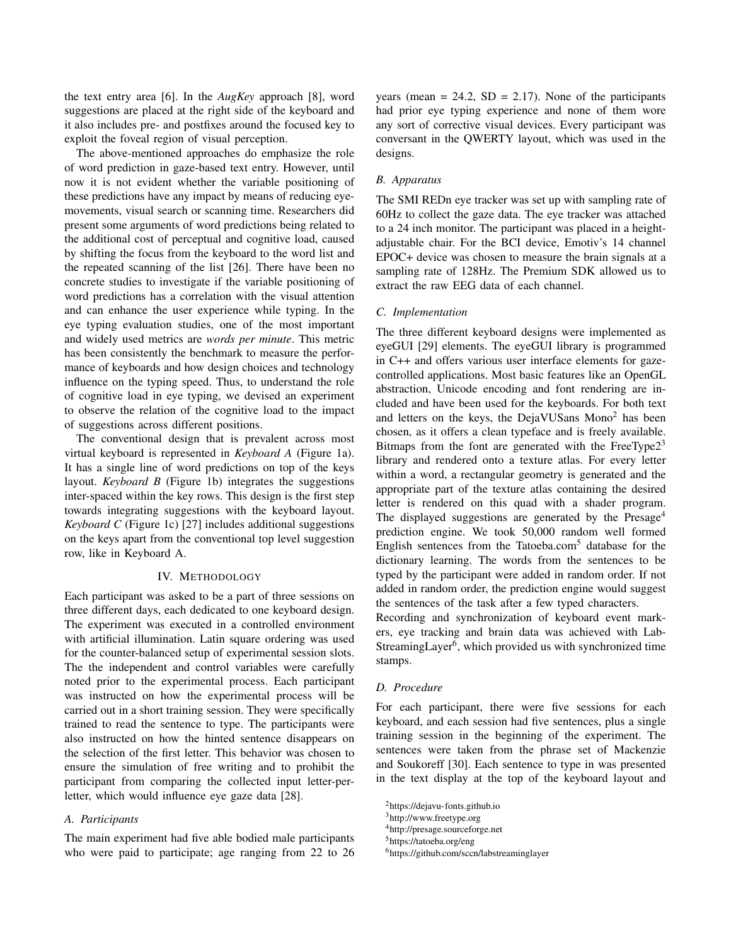the text entry area [6]. In the *AugKey* approach [8], word suggestions are placed at the right side of the keyboard and it also includes pre- and postfixes around the focused key to exploit the foveal region of visual perception.

The above-mentioned approaches do emphasize the role of word prediction in gaze-based text entry. However, until now it is not evident whether the variable positioning of these predictions have any impact by means of reducing eyemovements, visual search or scanning time. Researchers did present some arguments of word predictions being related to the additional cost of perceptual and cognitive load, caused by shifting the focus from the keyboard to the word list and the repeated scanning of the list [26]. There have been no concrete studies to investigate if the variable positioning of word predictions has a correlation with the visual attention and can enhance the user experience while typing. In the eye typing evaluation studies, one of the most important and widely used metrics are *words per minute*. This metric has been consistently the benchmark to measure the performance of keyboards and how design choices and technology influence on the typing speed. Thus, to understand the role of cognitive load in eye typing, we devised an experiment to observe the relation of the cognitive load to the impact of suggestions across different positions.

The conventional design that is prevalent across most virtual keyboard is represented in *Keyboard A* (Figure 1a). It has a single line of word predictions on top of the keys layout. *Keyboard B* (Figure 1b) integrates the suggestions inter-spaced within the key rows. This design is the first step towards integrating suggestions with the keyboard layout. *Keyboard C* (Figure 1c) [27] includes additional suggestions on the keys apart from the conventional top level suggestion row, like in Keyboard A.

## IV. METHODOLOGY

Each participant was asked to be a part of three sessions on three different days, each dedicated to one keyboard design. The experiment was executed in a controlled environment with artificial illumination. Latin square ordering was used for the counter-balanced setup of experimental session slots. The the independent and control variables were carefully noted prior to the experimental process. Each participant was instructed on how the experimental process will be carried out in a short training session. They were specifically trained to read the sentence to type. The participants were also instructed on how the hinted sentence disappears on the selection of the first letter. This behavior was chosen to ensure the simulation of free writing and to prohibit the participant from comparing the collected input letter-perletter, which would influence eye gaze data [28].

# *A. Participants*

The main experiment had five able bodied male participants who were paid to participate; age ranging from 22 to 26 years (mean =  $24.2$ , SD =  $2.17$ ). None of the participants had prior eye typing experience and none of them wore any sort of corrective visual devices. Every participant was conversant in the QWERTY layout, which was used in the designs.

## *B. Apparatus*

The SMI REDn eye tracker was set up with sampling rate of 60Hz to collect the gaze data. The eye tracker was attached to a 24 inch monitor. The participant was placed in a heightadjustable chair. For the BCI device, Emotiv's 14 channel EPOC+ device was chosen to measure the brain signals at a sampling rate of 128Hz. The Premium SDK allowed us to extract the raw EEG data of each channel.

# *C. Implementation*

The three different keyboard designs were implemented as eyeGUI [29] elements. The eyeGUI library is programmed in C++ and offers various user interface elements for gazecontrolled applications. Most basic features like an OpenGL abstraction, Unicode encoding and font rendering are included and have been used for the keyboards. For both text and letters on the keys, the DejaVUSans Mono<sup>2</sup> has been chosen, as it offers a clean typeface and is freely available. Bitmaps from the font are generated with the FreeType2<sup>3</sup> library and rendered onto a texture atlas. For every letter within a word, a rectangular geometry is generated and the appropriate part of the texture atlas containing the desired letter is rendered on this quad with a shader program. The displayed suggestions are generated by the Presage<sup>4</sup> prediction engine. We took 50,000 random well formed English sentences from the Tatoeba.com<sup>5</sup> database for the dictionary learning. The words from the sentences to be typed by the participant were added in random order. If not added in random order, the prediction engine would suggest the sentences of the task after a few typed characters.

Recording and synchronization of keyboard event markers, eye tracking and brain data was achieved with Lab-StreamingLayer<sup>6</sup>, which provided us with synchronized time stamps.

## *D. Procedure*

For each participant, there were five sessions for each keyboard, and each session had five sentences, plus a single training session in the beginning of the experiment. The sentences were taken from the phrase set of Mackenzie and Soukoreff [30]. Each sentence to type in was presented in the text display at the top of the keyboard layout and

<sup>2</sup>https://dejavu-fonts.github.io

<sup>3</sup>http://www.freetype.org

<sup>4</sup>http://presage.sourceforge.net

<sup>5</sup>https://tatoeba.org/eng

<sup>6</sup>https://github.com/sccn/labstreaminglayer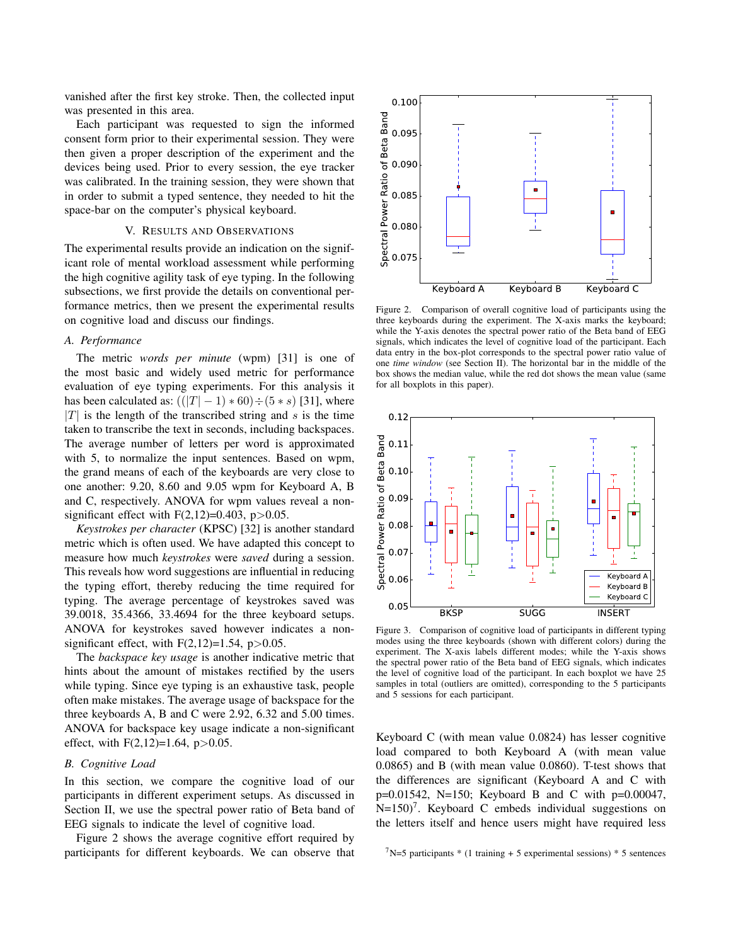vanished after the first key stroke. Then, the collected input was presented in this area.

Each participant was requested to sign the informed consent form prior to their experimental session. They were then given a proper description of the experiment and the devices being used. Prior to every session, the eye tracker was calibrated. In the training session, they were shown that in order to submit a typed sentence, they needed to hit the space-bar on the computer's physical keyboard.

# V. RESULTS AND OBSERVATIONS

The experimental results provide an indication on the significant role of mental workload assessment while performing the high cognitive agility task of eye typing. In the following subsections, we first provide the details on conventional performance metrics, then we present the experimental results on cognitive load and discuss our findings.

## *A. Performance*

The metric *words per minute* (wpm) [31] is one of the most basic and widely used metric for performance evaluation of eye typing experiments. For this analysis it has been calculated as:  $((|T|-1) * 60) \div (5*s)$  [31], where  $|T|$  is the length of the transcribed string and *s* is the time taken to transcribe the text in seconds, including backspaces. The average number of letters per word is approximated with 5, to normalize the input sentences. Based on wpm, the grand means of each of the keyboards are very close to one another: 9.20, 8.60 and 9.05 wpm for Keyboard A, B and C, respectively. ANOVA for wpm values reveal a nonsignificant effect with F(2,12)=0.403, p*>*0.05.

*Keystrokes per character* (KPSC) [32] is another standard metric which is often used. We have adapted this concept to measure how much *keystrokes* were *saved* during a session. This reveals how word suggestions are influential in reducing the typing effort, thereby reducing the time required for typing. The average percentage of keystrokes saved was 39.0018, 35.4366, 33.4694 for the three keyboard setups. ANOVA for keystrokes saved however indicates a nonsignificant effect, with F(2,12)=1.54, p*>*0.05.

The *backspace key usage* is another indicative metric that hints about the amount of mistakes rectified by the users while typing. Since eye typing is an exhaustive task, people often make mistakes. The average usage of backspace for the three keyboards A, B and C were 2.92, 6.32 and 5.00 times. ANOVA for backspace key usage indicate a non-significant effect, with F(2,12)=1.64, p*>*0.05.

#### *B. Cognitive Load*

In this section, we compare the cognitive load of our participants in different experiment setups. As discussed in Section II, we use the spectral power ratio of Beta band of EEG signals to indicate the level of cognitive load.

Figure 2 shows the average cognitive effort required by participants for different keyboards. We can observe that



Figure 2. Comparison of overall cognitive load of participants using the three keyboards during the experiment. The X-axis marks the keyboard; while the Y-axis denotes the spectral power ratio of the Beta band of EEG signals, which indicates the level of cognitive load of the participant. Each data entry in the box-plot corresponds to the spectral power ratio value of one *time window* (see Section II). The horizontal bar in the middle of the box shows the median value, while the red dot shows the mean value (same for all boxplots in this paper).



Figure 3. Comparison of cognitive load of participants in different typing modes using the three keyboards (shown with different colors) during the experiment. The X-axis labels different modes; while the Y-axis shows the spectral power ratio of the Beta band of EEG signals, which indicates the level of cognitive load of the participant. In each boxplot we have 25 samples in total (outliers are omitted), corresponding to the 5 participants and 5 sessions for each participant.

Keyboard C (with mean value 0.0824) has lesser cognitive load compared to both Keyboard A (with mean value 0.0865) and B (with mean value 0.0860). T-test shows that the differences are significant (Keyboard A and C with p=0.01542, N=150; Keyboard B and C with p=0.00047,  $N=150$ <sup>7</sup>. Keyboard C embeds individual suggestions on the letters itself and hence users might have required less

#### $7N=5$  participants \* (1 training + 5 experimental sessions) \* 5 sentences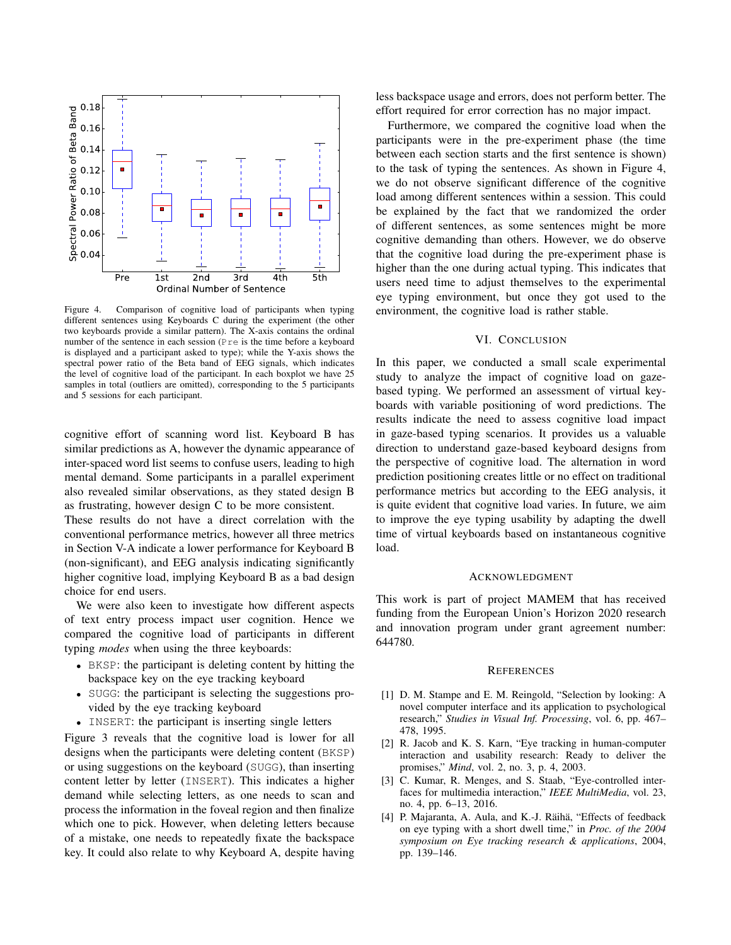

Figure 4. Comparison of cognitive load of participants when typing different sentences using Keyboards C during the experiment (the other two keyboards provide a similar pattern). The X-axis contains the ordinal number of the sentence in each session (Pre is the time before a keyboard is displayed and a participant asked to type); while the Y-axis shows the spectral power ratio of the Beta band of EEG signals, which indicates the level of cognitive load of the participant. In each boxplot we have 25 samples in total (outliers are omitted), corresponding to the 5 participants and 5 sessions for each participant.

cognitive effort of scanning word list. Keyboard B has similar predictions as A, however the dynamic appearance of inter-spaced word list seems to confuse users, leading to high mental demand. Some participants in a parallel experiment also revealed similar observations, as they stated design B as frustrating, however design C to be more consistent.

These results do not have a direct correlation with the conventional performance metrics, however all three metrics in Section V-A indicate a lower performance for Keyboard B (non-significant), and EEG analysis indicating significantly higher cognitive load, implying Keyboard B as a bad design choice for end users.

We were also keen to investigate how different aspects of text entry process impact user cognition. Hence we compared the cognitive load of participants in different typing *modes* when using the three keyboards:

- *•* BKSP: the participant is deleting content by hitting the backspace key on the eye tracking keyboard
- *•* SUGG: the participant is selecting the suggestions provided by the eye tracking keyboard
- *•* INSERT: the participant is inserting single letters

Figure 3 reveals that the cognitive load is lower for all designs when the participants were deleting content (BKSP) or using suggestions on the keyboard (SUGG), than inserting content letter by letter (INSERT). This indicates a higher demand while selecting letters, as one needs to scan and process the information in the foveal region and then finalize which one to pick. However, when deleting letters because of a mistake, one needs to repeatedly fixate the backspace key. It could also relate to why Keyboard A, despite having less backspace usage and errors, does not perform better. The effort required for error correction has no major impact.

Furthermore, we compared the cognitive load when the participants were in the pre-experiment phase (the time between each section starts and the first sentence is shown) to the task of typing the sentences. As shown in Figure 4, we do not observe significant difference of the cognitive load among different sentences within a session. This could be explained by the fact that we randomized the order of different sentences, as some sentences might be more cognitive demanding than others. However, we do observe that the cognitive load during the pre-experiment phase is higher than the one during actual typing. This indicates that users need time to adjust themselves to the experimental eye typing environment, but once they got used to the environment, the cognitive load is rather stable.

#### VI. CONCLUSION

In this paper, we conducted a small scale experimental study to analyze the impact of cognitive load on gazebased typing. We performed an assessment of virtual keyboards with variable positioning of word predictions. The results indicate the need to assess cognitive load impact in gaze-based typing scenarios. It provides us a valuable direction to understand gaze-based keyboard designs from the perspective of cognitive load. The alternation in word prediction positioning creates little or no effect on traditional performance metrics but according to the EEG analysis, it is quite evident that cognitive load varies. In future, we aim to improve the eye typing usability by adapting the dwell time of virtual keyboards based on instantaneous cognitive load.

## ACKNOWLEDGMENT

This work is part of project MAMEM that has received funding from the European Union's Horizon 2020 research and innovation program under grant agreement number: 644780.

#### **REFERENCES**

- [1] D. M. Stampe and E. M. Reingold, "Selection by looking: A novel computer interface and its application to psychological research," *Studies in Visual Inf. Processing*, vol. 6, pp. 467– 478, 1995.
- [2] R. Jacob and K. S. Karn, "Eye tracking in human-computer interaction and usability research: Ready to deliver the promises," *Mind*, vol. 2, no. 3, p. 4, 2003.
- [3] C. Kumar, R. Menges, and S. Staab, "Eye-controlled interfaces for multimedia interaction," *IEEE MultiMedia*, vol. 23, no. 4, pp. 6–13, 2016.
- [4] P. Majaranta, A. Aula, and K.-J. Räihä, "Effects of feedback on eye typing with a short dwell time," in *Proc. of the 2004 symposium on Eye tracking research & applications*, 2004, pp. 139–146.